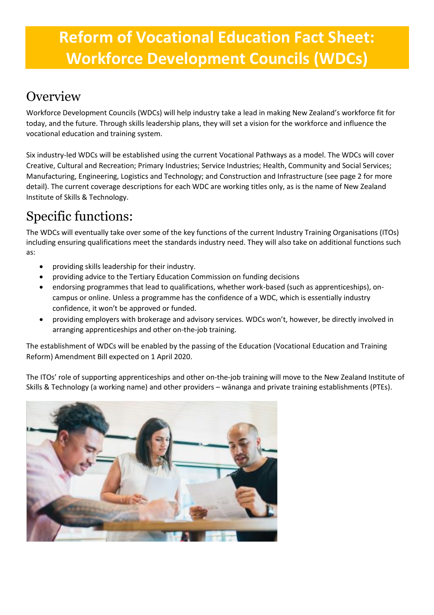#### **Overview**

Workforce Development Councils (WDCs) will help industry take a lead in making New Zealand's workforce fit for today, and the future. Through skills leadership plans, they will set a vision for the workforce and influence the vocational education and training system.

Six industry-led WDCs will be established using the current Vocational Pathways as a model. The WDCs will cover Creative, Cultural and Recreation; Primary Industries; Service Industries; Health, Community and Social Services; Manufacturing, Engineering, Logistics and Technology; and Construction and Infrastructure (see page 2 for more detail). The current coverage descriptions for each WDC are working titles only, as is the name of New Zealand Institute of Skills & Technology.

# Specific functions:

The WDCs will eventually take over some of the key functions of the current Industry Training Organisations (ITOs) including ensuring qualifications meet the standards industry need. They will also take on additional functions such as:

- providing skills leadership for their industry.
- providing advice to the Tertiary Education Commission on funding decisions
- endorsing programmes that lead to qualifications, whether work-based (such as apprenticeships), oncampus or online. Unless a programme has the confidence of a WDC, which is essentially industry confidence, it won't be approved or funded.
- providing employers with brokerage and advisory services. WDCs won't, however, be directly involved in arranging apprenticeships and other on-the-job training.

The establishment of WDCs will be enabled by the passing of the Education (Vocational Education and Training Reform) Amendment Bill expected on 1 April 2020.

The ITOs' role of supporting apprenticeships and other on-the-job training will move to the New Zealand Institute of Skills & Technology (a working name) and other providers – wānanga and private training establishments (PTEs).

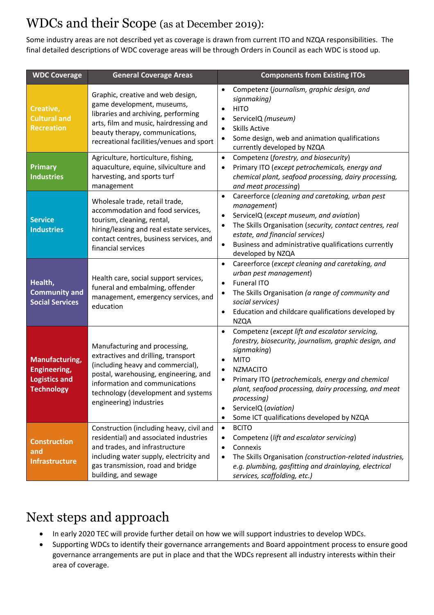### WDCs and their Scope (as at December 2019):

Some industry areas are not described yet as coverage is drawn from current ITO and NZQA responsibilities. The final detailed descriptions of WDC coverage areas will be through Orders in Council as each WDC is stood up.

| <b>WDC Coverage</b>                                                                | <b>General Coverage Areas</b>                                                                                                                                                                                                                          | <b>Components from Existing ITOs</b>                                                                                                                                                                                                                                                                                                                                                                                              |
|------------------------------------------------------------------------------------|--------------------------------------------------------------------------------------------------------------------------------------------------------------------------------------------------------------------------------------------------------|-----------------------------------------------------------------------------------------------------------------------------------------------------------------------------------------------------------------------------------------------------------------------------------------------------------------------------------------------------------------------------------------------------------------------------------|
| Creative,<br><b>Cultural and</b><br><b>Recreation</b>                              | Graphic, creative and web design,<br>game development, museums,<br>libraries and archiving, performing<br>arts, film and music, hairdressing and<br>beauty therapy, communications,<br>recreational facilities/venues and sport                        | Competenz (journalism, graphic design, and<br>$\bullet$<br>signmaking)<br><b>HITO</b><br>$\bullet$<br>ServiceIQ (museum)<br>$\bullet$<br><b>Skills Active</b><br>$\bullet$<br>Some design, web and animation qualifications<br>$\bullet$<br>currently developed by NZQA                                                                                                                                                           |
| <b>Primary</b><br><b>Industries</b>                                                | Agriculture, horticulture, fishing,<br>aquaculture, equine, silviculture and<br>harvesting, and sports turf<br>management                                                                                                                              | Competenz (forestry, and biosecurity)<br>$\bullet$<br>Primary ITO (except petrochemicals, energy and<br>$\bullet$<br>chemical plant, seafood processing, dairy processing,<br>and meat processing)                                                                                                                                                                                                                                |
| <b>Service</b><br><b>Industries</b>                                                | Wholesale trade, retail trade,<br>accommodation and food services,<br>tourism, cleaning, rental,<br>hiring/leasing and real estate services,<br>contact centres, business services, and<br>financial services                                          | Careerforce (cleaning and caretaking, urban pest<br>$\bullet$<br>management)<br>ServiceIQ (except museum, and aviation)<br>$\bullet$<br>The Skills Organisation (security, contact centres, real<br>$\bullet$<br>estate, and financial services)<br>Business and administrative qualifications currently<br>٠<br>developed by NZQA                                                                                                |
| Health,<br><b>Community and</b><br><b>Social Services</b>                          | Health care, social support services,<br>funeral and embalming, offender<br>management, emergency services, and<br>education                                                                                                                           | Careerforce (except cleaning and caretaking, and<br>$\bullet$<br>urban pest management)<br>Funeral ITO<br>$\bullet$<br>The Skills Organisation (a range of community and<br>$\bullet$<br>social services)<br>Education and childcare qualifications developed by<br>$\bullet$<br><b>NZQA</b>                                                                                                                                      |
| Manufacturing,<br><b>Engineering,</b><br><b>Logistics and</b><br><b>Technology</b> | Manufacturing and processing,<br>extractives and drilling, transport<br>(including heavy and commercial),<br>postal, warehousing, engineering, and<br>information and communications<br>technology (development and systems<br>engineering) industries | Competenz (except lift and escalator servicing,<br>$\bullet$<br>forestry, biosecurity, journalism, graphic design, and<br>signmaking)<br><b>MITO</b><br>$\bullet$<br><b>NZMACITO</b><br>$\bullet$<br>Primary ITO (petrochemicals, energy and chemical<br>$\bullet$<br>plant, seafood processing, dairy processing, and meat<br>processing)<br>ServiceIQ (aviation)<br>٠<br>Some ICT qualifications developed by NZQA<br>$\bullet$ |
| <b>Construction</b><br>and<br><b>Infrastructure</b>                                | Construction (including heavy, civil and<br>residential) and associated industries<br>and trades, and infrastructure<br>including water supply, electricity and<br>gas transmission, road and bridge<br>building, and sewage                           | <b>BCITO</b><br>$\bullet$<br>Competenz (lift and escalator servicing)<br>$\bullet$<br>Connexis<br>$\bullet$<br>The Skills Organisation (construction-related industries,<br>$\bullet$<br>e.g. plumbing, gasfitting and drainlaying, electrical<br>services, scaffolding, etc.)                                                                                                                                                    |

## Next steps and approach

- In early 2020 TEC will provide further detail on how we will support industries to develop WDCs.
- Supporting WDCs to identify their governance arrangements and Board appointment process to ensure good governance arrangements are put in place and that the WDCs represent all industry interests within their area of coverage.